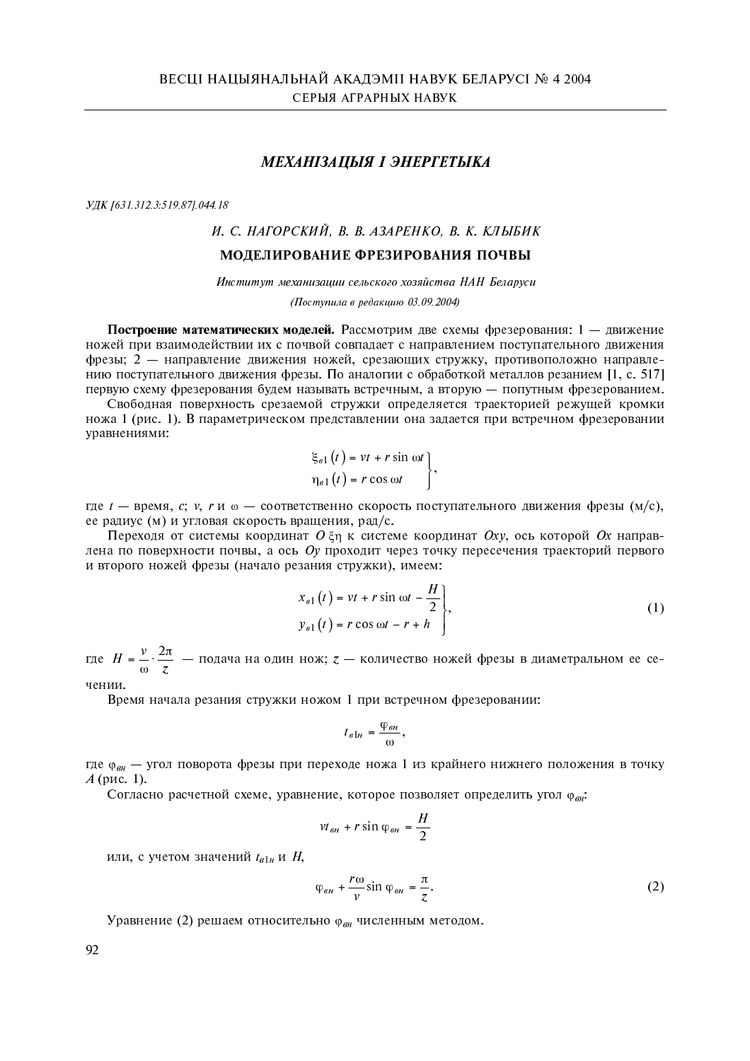# МЕХАНІЗАЦЫЯ І ЭНЕРГЕТЫКА

УДК [631.312.3:519.87] 044.18

# И. С. НАГОРСКИЙ, В. В. АЗАРЕНКО, В. К. КЛЫБИК

## МОДЕЛИРОВАНИЕ ФРЕЗИРОВАНИЯ ПОЧВЫ

Институт механизации сельского хозяйства НАН Беларуси

(Поступила в редакцию 03.09.2004)

Построение математических моделей. Рассмотрим две схемы фрезерования: 1 - движение ножей при взаимодействии их с почвой совпадает с направлением поступательного движения фрезы; 2 - направление движения ножей, срезающих стружку, противоположно направлению поступательного движения фрезы. По аналогии с обработкой металлов резанием [1, с. 517] первую схему фрезерования будем называть встречным, а вторую - попутным фрезерованием.

Свободная поверхность срезаемой стружки определяется траекторией режущей кромки ножа 1 (рис. 1). В параметрическом представлении она задается при встречном фрезеровании уравнениями:

$$
\xi_{\theta 1}(t) = vt + r \sin \omega t
$$

$$
\eta_{\theta 1}(t) = r \cos \omega t,
$$

где t - время, c; v, r и ω - соответственно скорость поступательного движения фрезы (м/с), ее радиус (м) и угловая скорость вращения, рад/с.

Переходя от системы координат  $0 \xi_{\eta}$  к системе координат  $0xy$ , ось которой  $0x$  направлена по поверхности почвы, а ось  $0y$  проходит через точку пересечения траекторий первого и второго ножей фрезы (начало резания стружки), имеем:

$$
x_{\sigma1}(t) = vt + r \sin \omega t - \frac{H}{2},
$$
  
\n
$$
y_{\sigma1}(t) = r \cos \omega t - r + h,
$$
 (1)

где  $H = \frac{v}{\omega} \cdot \frac{2\pi}{z}$  — подача на один нож;  $z$  — количество ножей фрезы в диаметральном ее се-

чении.

Время начала резания стружки ножом 1 при встречном фрезеровании:

$$
t_{\theta 1H} = \frac{\varphi_{\theta H}}{\omega},
$$

где Ф<sub>ви</sub> — угол поворота фрезы при переходе ножа 1 из крайнего нижнего положения в точку  $A$  (рис. 1).

Согласно расчетной схеме, уравнение, которое позволяет определить угол ф<sub>ен</sub>:

$$
vt_{\theta H} + r \sin \varphi_{\theta H} = \frac{H}{2}
$$

или, с учетом значений  $t_{\epsilon 1\mu}$  и  $H$ ,

$$
\varphi_{\scriptscriptstyle \theta H} + \frac{r\omega}{\nu} \sin \varphi_{\scriptscriptstyle \theta H} = \frac{\pi}{z}.
$$

Уравнение (2) решаем относительно  $\varphi_{\theta H}$  численным методом.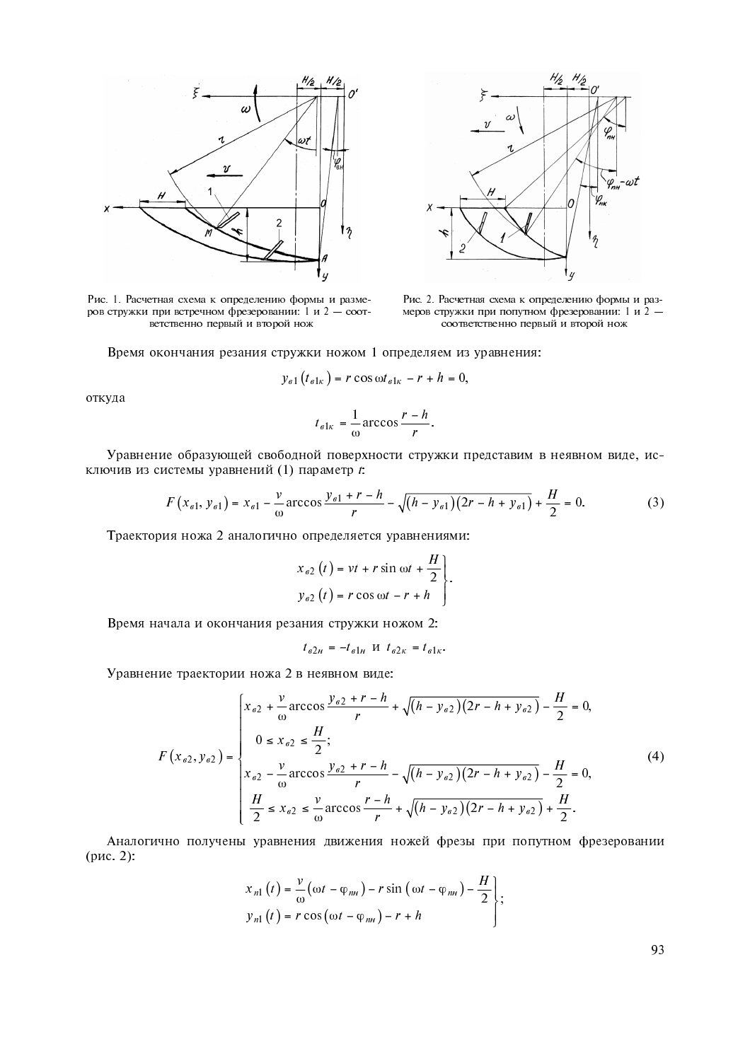

Рис. 1. Расчетная схема к определению формы и размеров стружки при встречном фрезеровании: 1 и 2 - соответственно первый и второй нож



Рис. 2. Расчетная схема к определению формы и размеров стружки при попутном фрезеровании: 1 и 2 соответственно первый и второй нож

Время окончания резания стружки ножом 1 определяем из уравнения: 

$$
y_{\theta 1}(t_{\theta 1\kappa}) = r \cos \omega t_{\theta 1\kappa} - r + h = 0,
$$

откуда

$$
t_{\theta 1\kappa} = \frac{1}{\omega} \arccos \frac{r - h}{r}
$$

Уравнение образующей свободной поверхности стружки представим в неявном виде, исключив из системы уравнений (1) параметр  $t$ .

$$
F(x_{\epsilon 1}, y_{\epsilon 1}) = x_{\epsilon 1} - \frac{v}{\omega} \arccos \frac{y_{\epsilon 1} + r - h}{r} - \sqrt{(h - y_{\epsilon 1})(2r - h + y_{\epsilon 1})} + \frac{H}{2} = 0.
$$
 (3)

Траектория ножа 2 аналогично определяется уравнениями:

$$
x_{\theta 2}(t) = vt + r \sin \omega t + \frac{H}{2}
$$
  

$$
y_{\theta 2}(t) = r \cos \omega t - r + h
$$

Время начала и окончания резания стружки ножом 2:

$$
t_{\theta 2H} = -t_{\theta 1H}
$$
  $H$   $t_{\theta 2K} = t_{\theta 1K}$ .

Уравнение траектории ножа 2 в неявном виде:

$$
F(x_{62}, y_{62}) = \begin{cases} x_{62} + \frac{v}{\omega} \arccos \frac{y_{62} + r - h}{r} + \sqrt{(h - y_{62})(2r - h + y_{62})} - \frac{H}{2} = 0, \\ 0 \le x_{62} \le \frac{H}{2}; \\ x_{62} - \frac{v}{\omega} \arccos \frac{y_{62} + r - h}{r} - \sqrt{(h - y_{62})(2r - h + y_{62})} - \frac{H}{2} = 0, \\ \frac{H}{2} \le x_{62} \le \frac{v}{\omega} \arccos \frac{r - h}{r} + \sqrt{(h - y_{62})(2r - h + y_{62})} + \frac{H}{2}. \end{cases}
$$
(4)

Аналогично получены уравнения движения ножей фрезы при попутном фрезеровании (рис. 2):

$$
x_{n1}(t) = \frac{v}{\omega}(\omega t - \varphi_{nn}) - r \sin(\omega t - \varphi_{nn}) - \frac{H}{2},
$$
  
\n
$$
y_{n1}(t) = r \cos(\omega t - \varphi_{nn}) - r + h
$$

93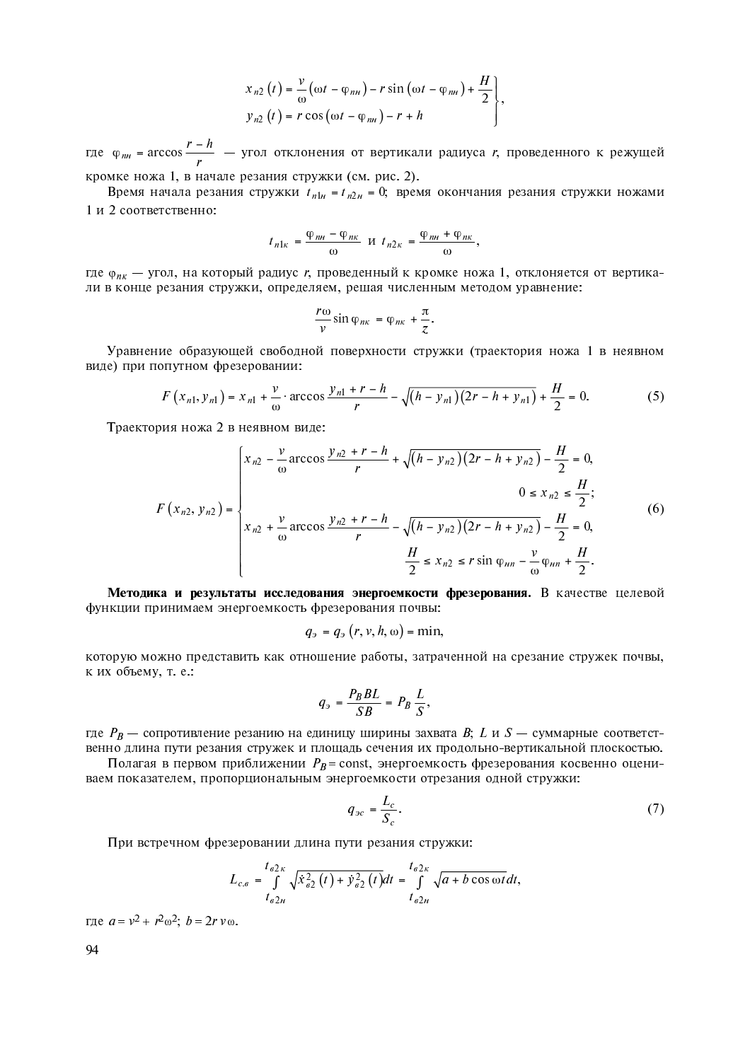$$
x_{n2}(t) = \frac{v}{\omega}(\omega t - \varphi_{nn}) - r \sin(\omega t - \varphi_{nn}) + \frac{H}{2},
$$
  
\n
$$
y_{n2}(t) = r \cos(\omega t - \varphi_{nn}) - r + h,
$$

где  $\varphi_{n}$  = arccos  $\frac{r-h}{r}$  $\varphi_{n\mu}$  = arccos  $\frac{r - h}{r}$  — угол отклонения от вертикали радиуса r, проведенного к режущей кромке ножа 1, в начале резания стружки (см. рис. 2).

Время начала резания стружки  $t_{n1u} = t_{n2u} = 0$ ; время окончания резания стружки ножами 1 и 2 соответственно:

$$
t_{n1\kappa} = \frac{\varphi_{n\kappa} - \varphi_{n\kappa}}{\omega} \ \mathbf{u} \ t_{n2\kappa} = \frac{\varphi_{n\kappa} + \varphi_{n\kappa}}{\omega},
$$

где  $\varphi_{nk}$  — угол, на который радиус r, проведенный к кромке ножа 1, отклоняется от вертикали в конце резания стружки, определяем, решая численным методом уравнение:

$$
\frac{r\omega}{v}\sin\varphi_{n\kappa}=\varphi_{n\kappa}+\frac{\pi}{z}.
$$

Уравнение образующей свободной поверхности стружки (траектория ножа 1 в неявном виде) при попутном фрезеровании:

$$
F(x_{n1}, y_{n1}) = x_{n1} + \frac{v}{\omega} \cdot \arccos \frac{y_{n1} + r - h}{r} - \sqrt{(h - y_{n1})(2r - h + y_{n1})} + \frac{H}{2} = 0. \tag{5}
$$

Траектория ножа 2 в неявном виде:

$$
F(x_{n2}, y_{n2}) = \begin{cases} x_{n2} - \frac{v}{\omega} \arccos \frac{y_{n2} + r - h}{r} + \sqrt{(h - y_{n2})(2r - h + y_{n2})} - \frac{H}{2} = 0, \\ 0 \le x_{n2} \le \frac{H}{2}; \\ x_{n2} + \frac{v}{\omega} \arccos \frac{y_{n2} + r - h}{r} - \sqrt{(h - y_{n2})(2r - h + y_{n2})} - \frac{H}{2} = 0, \\ \frac{H}{2} \le x_{n2} \le r \sin \varphi_{nn} - \frac{v}{\omega} \varphi_{nn} + \frac{H}{2}. \end{cases}
$$
(6)

Методика и результаты исследования энергоемкости фрезерования. В качестве целевой функции принимаем энергоемкость фрезерования почвы:

$$
q_{\vartheta} = q_{\vartheta} (r, v, h, \omega) = \min,
$$

которую можно представить как отношение работы, затраченной на срезание стружек почвы, к их объему, т. е.:

$$
q_{\scriptscriptstyle{3}} = \frac{P_B BL}{SB} = P_B \frac{L}{S},
$$

где  $P_B$  — сопротивление резанию на единицу ширины захвата  $B$ ;  $L$  и  $S$  — суммарные соответственно длина пути резания стружек и площадь сечения их продольно-вертикальной плоскостью.

Полагая в первом приближении  $P_B$  = const, энергоемкость фрезерования косвенно оцениваем показателем, пропорциональным энергоемкости отрезания одной стружки:

$$
q_{\scriptscriptstyle{3c}} = \frac{L_c}{S_c}.\tag{7}
$$

При встречном фрезеровании длина пути резания стружки:

$$
L_{c,e} = \int\limits_{t_{\theta 2n}}^{t_{\theta 2k}} \sqrt{\dot{x}_{\theta 2}^2(t) + \dot{y}_{\theta 2}^2(t)} dt = \int\limits_{t_{\theta 2n}}^{t_{\theta 2k}} \sqrt{a + b \cos \omega t} dt,
$$

где  $a = v^2 + r^2 \omega^2$ ;  $b = 2rv \omega$ .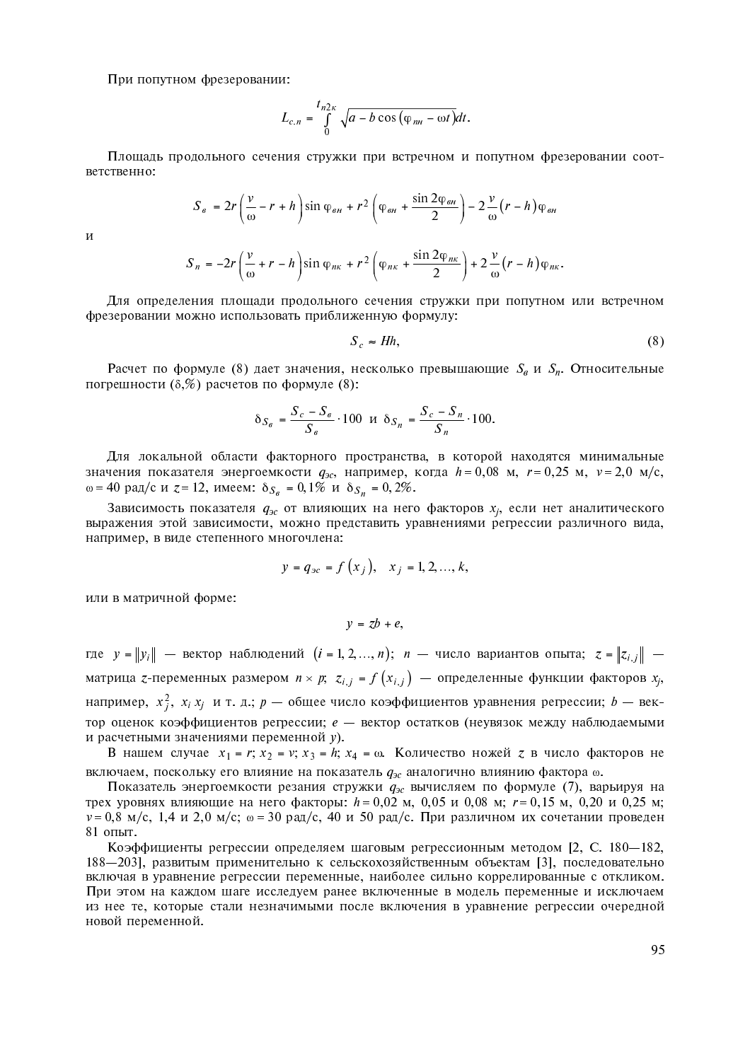При попутном фрезеровании:

$$
L_{c.n} = \int_{0}^{t_{n2\kappa}} \sqrt{a - b \cos(\varphi_{nn} - \omega t)} dt
$$

Площадь продольного сечения стружки при встречном и попутном фрезеровании соответственно:

$$
S_{\theta} = 2r\left(\frac{v}{\omega} - r + h\right)\sin\varphi_{\theta H} + r^2\left(\varphi_{\theta H} + \frac{\sin 2\varphi_{\theta H}}{2}\right) - 2\frac{v}{\omega}\left(r - h\right)\varphi_{\theta H}
$$

 $\overline{M}$ 

$$
S_n = -2r\left(\frac{v}{\omega} + r - h\right)\sin\varphi_{nk} + r^2\left(\varphi_{nk} + \frac{\sin 2\varphi_{nk}}{2}\right) + 2\frac{v}{\omega}\left(r - h\right)\varphi_{nk}
$$

Для определения площади продольного сечения стружки при попутном или встречном фрезеровании можно использовать приближенную формулу:

$$
S_c \approx Hh,\tag{8}
$$

Расчет по формуле (8) дает значения, несколько превышающие  $S_6$  и  $S_n$ . Относительные погрешности  $(\delta, \%)$  расчетов по формуле  $(8)$ :

$$
\delta_{S_g} = \frac{S_c - S_g}{S_g} \cdot 100 \quad \text{if} \quad \delta_{S_n} = \frac{S_c - S_n}{S_n} \cdot 100.
$$

Для локальной области факторного пространства, в которой находятся минимальные значения показателя энергоемкости  $q_{ac}$ , например, когда  $h = 0.08$  м,  $r = 0.25$  м,  $v = 2.0$  м/с, ω = 40 рад/с и  $z = 12$ , имеем:  $\delta_{S_g} = 0.1\%$  и  $\delta_{S_n} = 0.2\%.$ 

Зависимость показателя  $q_{3c}$  от влияющих на него факторов  $x_i$ , если нет аналитического выражения этой зависимости, можно представить уравнениями регрессии различного вида, например, в виде степенного многочлена:

$$
y = q_{3c} = f(x_i), x_i = 1, 2, ..., k,
$$

или в матричной форме:

 $y = zb + e$ 

где  $y = ||y_i||$  — вектор наблюдений  $(i = 1, 2, ..., n);$  *n* — число вариантов опыта;  $z = ||z_{i,j}||$  матрица z-переменных размером  $n \times p$ ;  $z_{i,j} = f(x_{i,j})$  — определенные функции факторов  $x_j$ , например,  $x_i^2$ ,  $x_i x_j$  и т. д.;  $p$  — общее число коэффициентов уравнения регрессии;  $b$  — вектор оценок коэффициентов регрессии; е - вектор остатков (неувязок между наблюдаемыми и расчетными значениями переменной у).

В нашем случае  $x_1 = r$ ;  $x_2 = v$ ;  $x_3 = h$ ;  $x_4 = \omega$ . Количество ножей  $z$  в число факторов не включаем, поскольку его влияние на показатель  $q_{ac}$  аналогично влиянию фактора  $\omega$ .

Показатель энергоемкости резания стружки  $q_{3c}$  вычисляем по формуле (7), варьируя на трех уровнях влияющие на него факторы:  $h = 0.02$  м, 0.05 и 0.08 м;  $r = 0.15$  м, 0.20 и 0.25 м;  $v = 0.8$  м/с, 1.4 и 2.0 м/с;  $\omega = 30$  рад/с, 40 и 50 рад/с. При различном их сочетании проведен 81 опыт.

Коэффициенты регрессии определяем шаговым регрессионным методом [2, С. 180-182, 188—2031, развитым применительно к сельскохозяйственным объектам [3], последовательно включая в уравнение регрессии переменные, наиболее сильно коррелированные с откликом. При этом на каждом шаге исследуем ранее включенные в модель переменные и исключаем из нее те, которые стали незначимыми после включения в уравнение регрессии очередной новой переменной.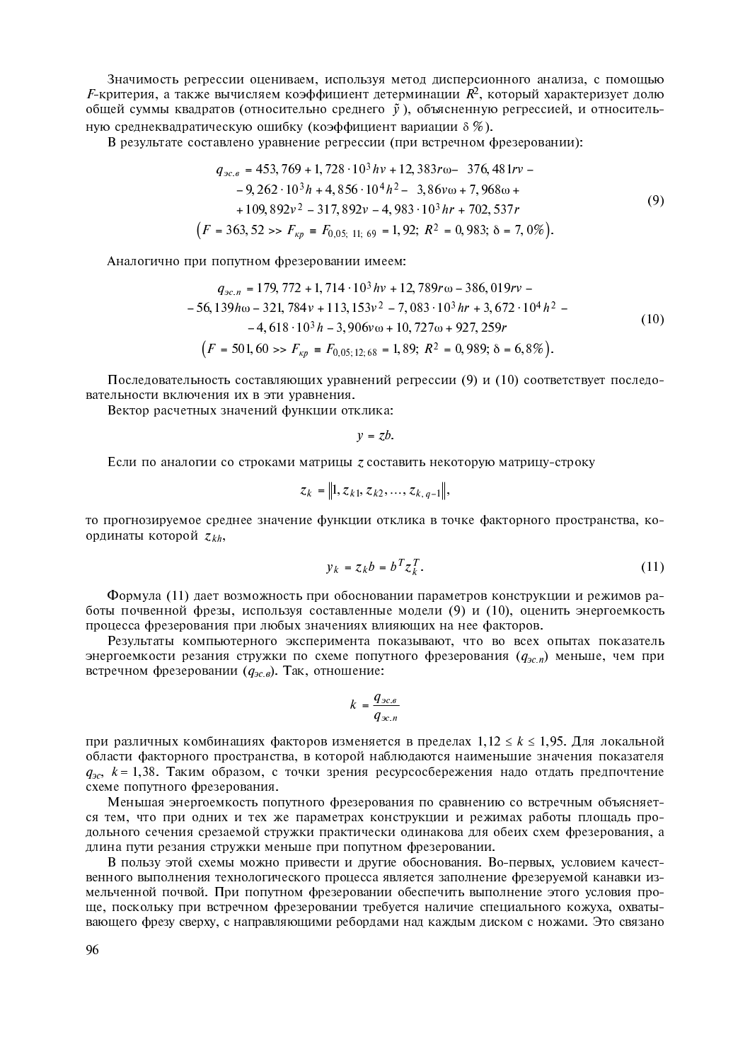Значимость регрессии оцениваем, используя метод дисперсионного анализа, с помощью  $F$ -критерия, а также вычисляем коэффициент детерминации  $R^2$ , который характеризует долю общей суммы квадратов (относительно среднего  $\tilde{v}$ ), объясненную регрессией, и относительную среднеквадратическую ошибку (коэффициент вариации  $\delta$  %).

В результате составлено уравнение регрессии (при встречном фрезеровании):

$$
q_{\mathfrak{DCA}} = 453,769 + 1,728 \cdot 10^3 h v + 12,383r\omega - 376,481r v - 9,262 \cdot 10^3 h + 4,856 \cdot 10^4 h^2 - 3,86v\omega + 7,968\omega + 109,892v^2 - 317,892v - 4,983 \cdot 10^3 hr + 702,537r
$$
\n
$$
(F = 363,52 \gg F_{kp} = F_{0,05; 11; 69} = 1,92; R^2 = 0,983; \delta = 7,0\%)
$$
\n(9)

Аналогично при попутном фрезеровании имеем:

$$
q_{\infty,n} = 179,772 + 1,714 \cdot 10^3 hv + 12,789rw - 386,019rv -
$$
  
- 56,139hw - 321,784v + 113,153v<sup>2</sup> - 7,083 \cdot 10^3 hr + 3,672 \cdot 10^4 h<sup>2</sup> -  
- 4,618 \cdot 10^3 h - 3,906vw + 10,727w + 927,259r  
(F = 501,60 >> F<sub>kp</sub> = F<sub>0,05;12;68</sub> = 1,89; R<sup>2</sup> = 0,989; δ = 6,8%)  
(F = 501,60 >> F<sub>kp</sub> = F<sub>0,05;12;68</sub> = 1,89; R<sup>2</sup> = 0,989; δ = 6,8%)

Последовательность составляющих уравнений регрессии (9) и (10) соответствует последовательности включения их в эти уравнения.

Вектор расчетных значений функции отклика:

$$
y = zb.
$$

Если по аналогии со строками матрицы z составить некоторую матрицу-строку

$$
z_k = ||1, z_{k1}, z_{k2}, \ldots, z_{k,q-1}||,
$$

то прогнозируемое среднее значение функции отклика в точке факторного пространства, координаты которой  $z_{kh}$ ,

$$
y_k = z_k b = b^T z_k^T. \tag{11}
$$

Формула (11) дает возможность при обосновании параметров конструкции и режимов работы почвенной фрезы, используя составленные модели (9) и (10), оценить энергоемкость процесса фрезерования при любых значениях влияющих на нее факторов.

Результаты компьютерного эксперимента показывают, что во всех опытах показатель энергоемкости резания стружки по схеме попутного фрезерования  $(q_{ac,n})$  меньше, чем при встречном фрезеровании  $(q_{ac,6})$ . Так, отношение:

$$
k = \frac{q_{\mathcal{IC}.\theta}}{q_{\mathcal{IC}.\theta}}
$$

при различных комбинациях факторов изменяется в пределах  $1,12 \le k \le 1,95$ . Для локальной области факторного пространства, в которой наблюдаются наименьшие значения показателя  $q_{ac}$ ,  $k = 1,38$ . Таким образом, с точки зрения ресурсосбережения надо отдать предпочтение схеме попутного фрезерования.

Меньшая энергоемкость попутного фрезерования по сравнению со встречным объясняется тем, что при одних и тех же параметрах конструкции и режимах работы площадь продольного сечения срезаемой стружки практически одинакова для обеих схем фрезерования, а длина пути резания стружки меньше при попутном фрезеровании.

В пользу этой схемы можно привести и другие обоснования. Во-первых, условием качественного выполнения технологического процесса является заполнение фрезеруемой канавки измельченной почвой. При попутном фрезеровании обеспечить выполнение этого условия проще, поскольку при встречном фрезеровании требуется наличие специального кожуха, охватывающего фрезу сверху, с направляющими ребордами над каждым диском с ножами. Это связано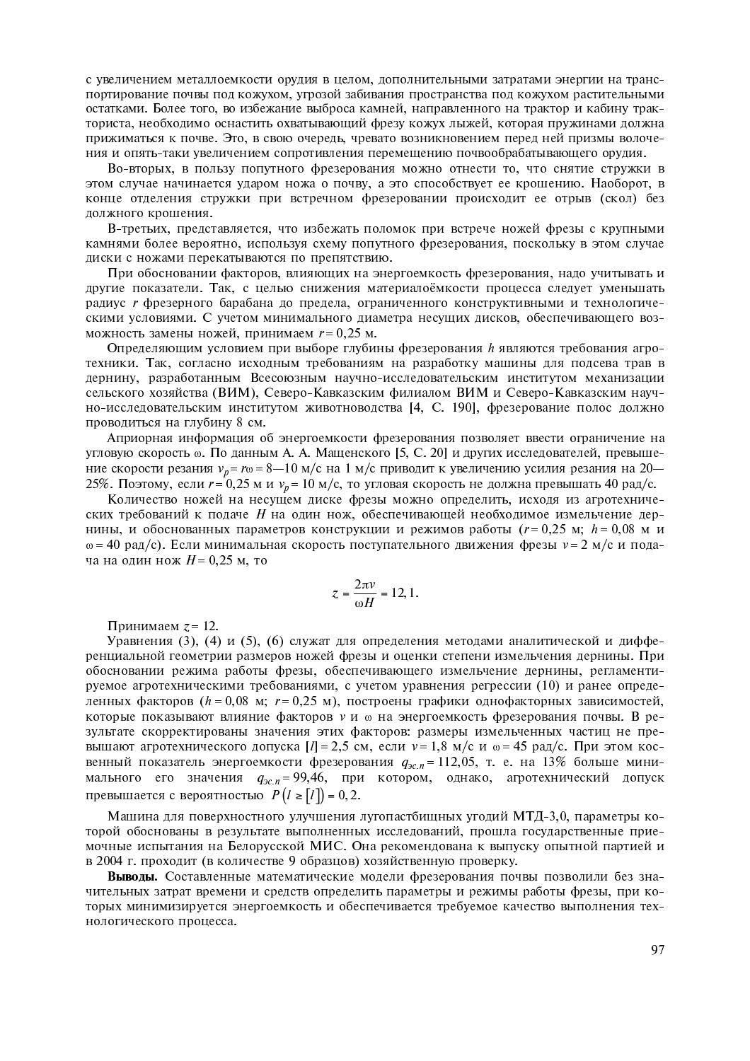с увеличением металлоемкости орудия в целом, дополнительными затратами энергии на транспортирование почвы под кожухом, угрозой забивания пространства под кожухом растительными остатками. Более того, во избежание выброса камней, направленного на трактор и кабину тракториста, необходимо оснастить охватывающий фрезу кожух лыжей, которая пружинами должна прижиматься к почве. Это, в свою очередь, чревато возникновением перед ней призмы волочения и опять-таки увеличением сопротивления перемещению почвообрабатывающего орудия.

Во-вторых, в пользу попутного фрезерования можно отнести то, что снятие стружки в этом случае начинается ударом ножа о почву, а это способствует ее крошению. Наоборот, в конце отделения стружки при встречном фрезеровании происходит ее отрыв (скол) без должного крошения.

В-третьих, представляется, что избежать поломок при встрече ножей фрезы с крупными камнями более вероятно, используя схему попутного фрезерования, поскольку в этом случае диски с ножами перекатываются по препятствию.

При обосновании факторов, влияющих на энергоемкость фрезерования, надо учитывать и другие показатели. Так, с целью снижения материалоёмкости процесса следует уменьшать радиус r фрезерного барабана до предела, ограниченного конструктивными и технологическими условиями. С учетом минимального диаметра несущих дисков, обеспечивающего возможность замены ножей, принимаем  $r = 0.25$  м.

Определяющим условием при выборе глубины фрезерования h являются требования агротехники. Так, согласно исходным требованиям на разработку машины для подсева трав в дернину, разработанным Всесоюзным научно-исследовательским институтом механизации сельского хозяйства (ВИМ), Северо-Кавказским филиалом ВИМ и Северо-Кавказским научно-исследовательским институтом животноводства [4, С. 190], фрезерование полос должно проводиться на глубину 8 см.

Априорная информация об энергоемкости фрезерования позволяет ввести ограничение на угловую скорость **®. По данным А. А. Мащенского [5, С. 20**] и других исследователей, превышение скорости резания  $v_p = r\omega = 8-10$  м/с на 1 м/с приводит к увеличению усилия резания на 20— 25%. Поэтому, если  $r$  = 0,25 м и  $v_p$  = 10 м/с, то угловая скорость не должна превышать 40 рад/с.

Количество ножей на несущем диске фрезы можно определить, исходя из агротехнических требований к подаче  $H$  на один нож, обеспечивающей необходимое измельчение дернины, и обоснованных параметров конструкции и режимов работы ( $r = 0,25$  м;  $h = 0,08$  м  $\omega = 40$  рад/с). Если минимальная скорость поступательного движения фрезы  $v = 2$  м/с и подача на один нож  $H$ = 0,25 м, то

$$
z = \frac{2\pi v}{\omega H} = 12, 1.
$$

Принимаем  $z = 12$ .

Уравнения (3), (4) и (5), (6) служат для определения методами аналитической и дифференциальной геометрии размеров ножей фрезы и оценки степени измельчения дернины. При обосновании режима работы фрезы, обеспечивающего измельчение дернины, регламентируемое агротехническими требованиями, с учетом уравнения регрессии (10) и ранее определенных факторов (h = 0,08 м; r = 0,25 м), построены графики однофакторных зависимостей, которые показывают влияние факторов  $\nu$  и  $\omega$  на энергоемкость фрезерования почвы. В результате скорректированы значения этих факторов: размеры измельченных частиц не превышают агротехнического допуска  $[I] = 2.5$  см, если  $v = 1.8$  м/с и  $\omega = 45$  рад/с. При этом косвенный показатель энергоемкости фрезерования  $q_{\textit{3c.n}} = 112,05,$  т. е. на 13% больше минимального его значения  $q_{\mathit{3c.n}} = 99,46,$  при котором, однако, агротехнический допуск превышается с вероятностью  $P(l \ge [l]) = 0, 2$ .

Машина для поверхностного улучшения лугопастбищных угодий МТД-3,0, параметры которой обоснованы в результате выполненных исследований, прошла государственные приемочные испытания на Белорусской МИС. Она рекомендована к выпуску опытной партией и в 2004 г. проходит (в количестве 9 образцов) хозяйственную проверку.

Выволы. Составленные математические модели фрезерования почвы позволили без значительных затрат времени и средств определить параметры и режимы работы фрезы, при которых минимизируется энергоемкость и обеспечивается требуемое качество выполнения технологического процесса.